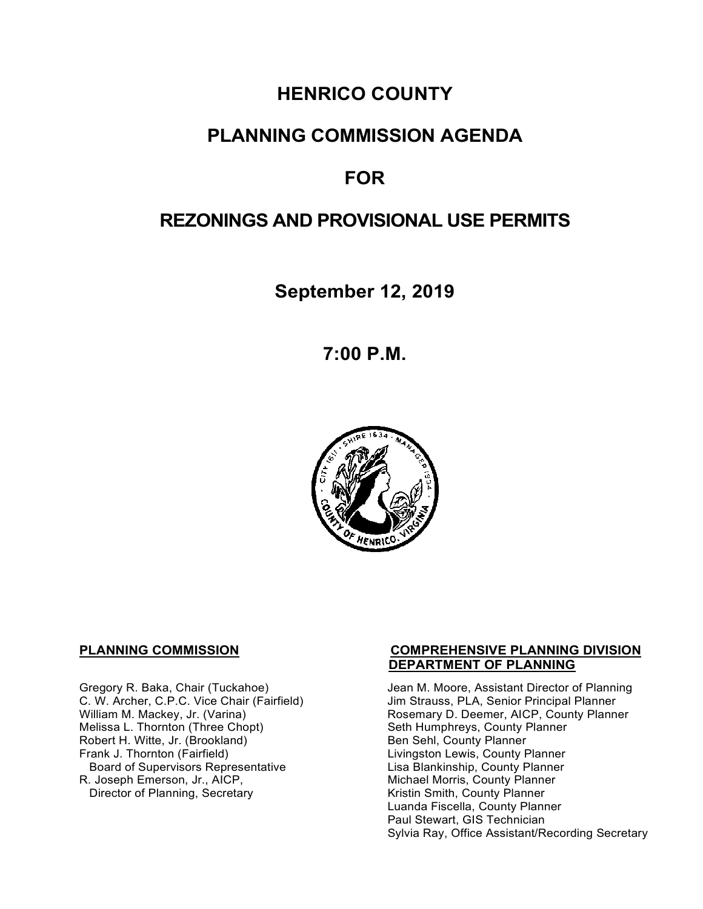# **HENRICO COUNTY**

## **PLANNING COMMISSION AGENDA**

## **FOR**

## **REZONINGS AND PROVISIONAL USE PERMITS**

**September 12, 2019**

**7:00 P.M.**



Melissa L. Thornton (Three Chopt) Seth Humphreys, County F<br>
Robert H. Witte, Jr. (Brookland) Seth Sen Sehl, County Planner Robert H. Witte, Jr. (Brookland)<br>Frank J. Thornton (Fairfield) Board of Supervisors Representative Lisa Blankinship, County Planner<br>R. Joseph Emerson, Jr., AICP, Michael Morris, County Planner Director of Planning, Secretary

#### **PLANNING COMMISSION COMPREHENSIVE PLANNING DIVISION DEPARTMENT OF PLANNING**

Gregory R. Baka, Chair (Tuckahoe) Jean M. Moore, Assistant Director of Planning<br>C. W. Archer, C.P.C. Vice Chair (Fairfield) Jim Strauss, PLA, Senior Principal Planner C. W. Archer, C.P.C. Vice Chair (Fairfield) Jim Strauss, PLA, Senior Principal Planner<br>William M. Mackey, Jr. (Varina) Sand Chair Rosemary D. Deemer, AICP, County Plann Rosemary D. Deemer, AICP, County Planner<br>Seth Humphreys, County Planner Livingston Lewis, County Planner Michael Morris, County Planner<br>Kristin Smith, County Planner Luanda Fiscella, County Planner Paul Stewart, GIS Technician Sylvia Ray, Office Assistant/Recording Secretary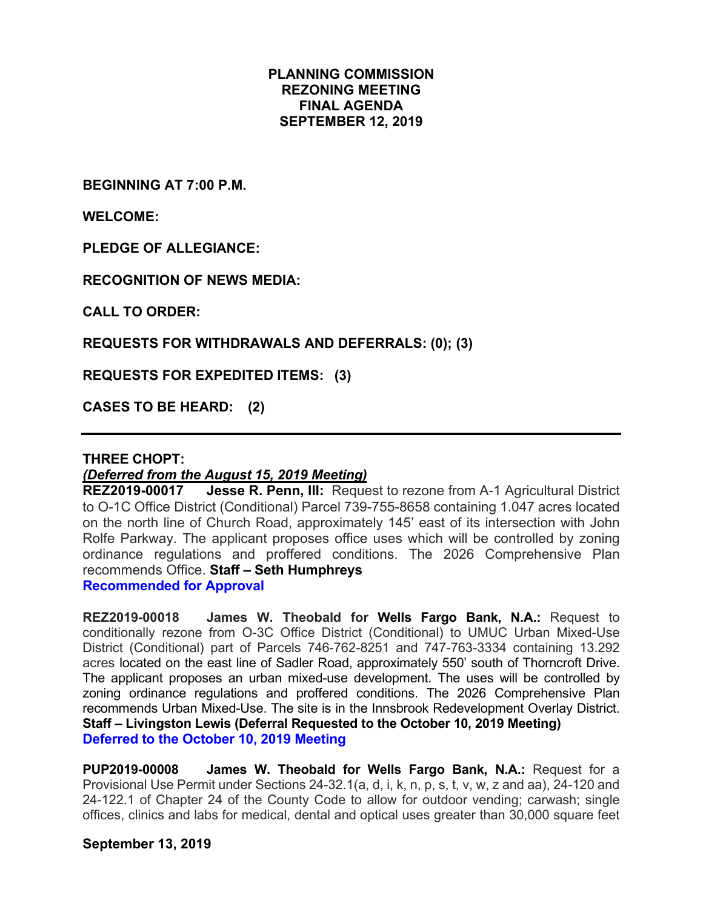### **PLANNING COMMISSION REZONING MEETING FINAL AGENDA SEPTEMBER 12, 2019**

**BEGINNING AT 7:00 P.M.**

**WELCOME:**

**PLEDGE OF ALLEGIANCE:**

**RECOGNITION OF NEWS MEDIA:**

**CALL TO ORDER:**

**REQUESTS FOR WITHDRAWALS AND DEFERRALS: (0); (3)**

**REQUESTS FOR EXPEDITED ITEMS: (3)**

**CASES TO BE HEARD: (2)**

#### **THREE CHOPT:**

#### *(Deferred from the August 15, 2019 Meeting)*

**REZ2019-00017 Jesse R. Penn, III:** Request to rezone from A-1 Agricultural District to O-1C Office District (Conditional) Parcel 739-755-8658 containing 1.047 acres located on the north line of Church Road, approximately 145' east of its intersection with John Rolfe Parkway. The applicant proposes office uses which will be controlled by zoning ordinance regulations and proffered conditions. The 2026 Comprehensive Plan recommends Office. **Staff – Seth Humphreys** 

**Recommended for Approval**

**REZ2019-00018 James W. Theobald for Wells Fargo Bank, N.A.:** Request to conditionally rezone from O-3C Office District (Conditional) to UMUC Urban Mixed-Use District (Conditional) part of Parcels 746-762-8251 and 747-763-3334 containing 13.292 acres located on the east line of Sadler Road, approximately 550' south of Thorncroft Drive. The applicant proposes an urban mixed-use development. The uses will be controlled by zoning ordinance regulations and proffered conditions. The 2026 Comprehensive Plan recommends Urban Mixed-Use. The site is in the Innsbrook Redevelopment Overlay District. **Staff – Livingston Lewis (Deferral Requested to the October 10, 2019 Meeting) Deferred to the October 10, 2019 Meeting**

**PUP2019-00008 James W. Theobald for Wells Fargo Bank, N.A.:** Request for a Provisional Use Permit under Sections 24-32.1(a, d, i, k, n, p, s, t, v, w, z and aa), 24-120 and 24-122.1 of Chapter 24 of the County Code to allow for outdoor vending; carwash; single offices, clinics and labs for medical, dental and optical uses greater than 30,000 square feet

#### **September 13, 2019**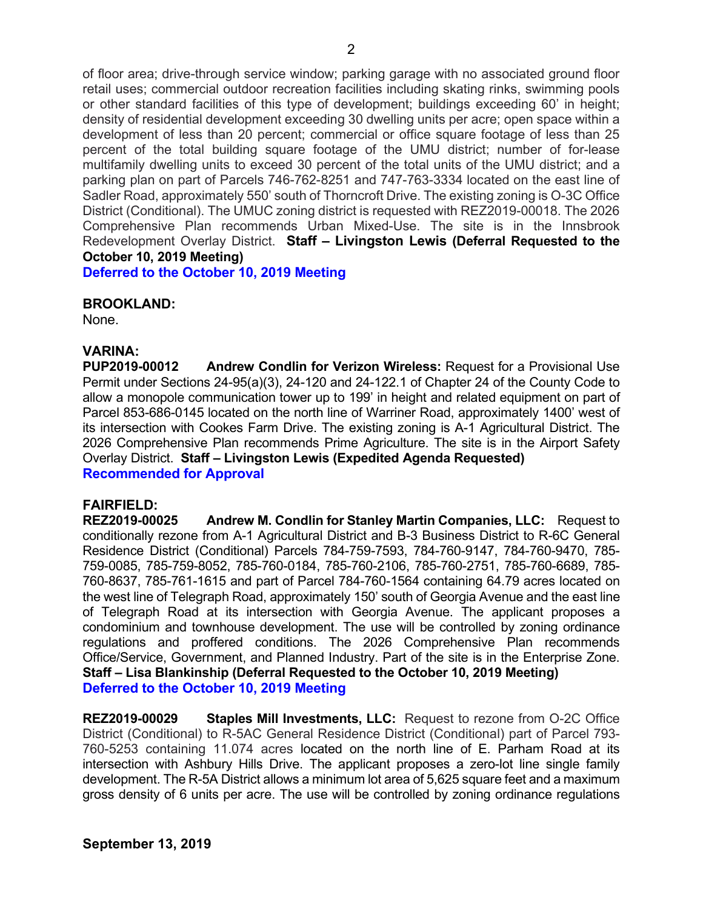of floor area; drive-through service window; parking garage with no associated ground floor retail uses; commercial outdoor recreation facilities including skating rinks, swimming pools or other standard facilities of this type of development; buildings exceeding 60' in height; density of residential development exceeding 30 dwelling units per acre; open space within a development of less than 20 percent; commercial or office square footage of less than 25 percent of the total building square footage of the UMU district; number of for-lease multifamily dwelling units to exceed 30 percent of the total units of the UMU district; and a parking plan on part of Parcels 746-762-8251 and 747-763-3334 located on the east line of Sadler Road, approximately 550' south of Thorncroft Drive. The existing zoning is O-3C Office District (Conditional). The UMUC zoning district is requested with REZ2019-00018. The 2026 Comprehensive Plan recommends Urban Mixed-Use. The site is in the Innsbrook Redevelopment Overlay District. **Staff – Livingston Lewis (Deferral Requested to the October 10, 2019 Meeting)**

**Deferred to the October 10, 2019 Meeting**

#### **BROOKLAND:**

None.

#### **VARINA:**

**PUP2019-00012 Andrew Condlin for Verizon Wireless:** Request for a Provisional Use Permit under Sections 24-95(a)(3), 24-120 and 24-122.1 of Chapter 24 of the County Code to allow a monopole communication tower up to 199' in height and related equipment on part of Parcel 853-686-0145 located on the north line of Warriner Road, approximately 1400' west of its intersection with Cookes Farm Drive. The existing zoning is A-1 Agricultural District. The 2026 Comprehensive Plan recommends Prime Agriculture. The site is in the Airport Safety Overlay District. **Staff – Livingston Lewis (Expedited Agenda Requested) Recommended for Approval**

#### **FAIRFIELD:**

**REZ2019-00025 Andrew M. Condlin for Stanley Martin Companies, LLC:** Request to conditionally rezone from A-1 Agricultural District and B-3 Business District to R-6C General Residence District (Conditional) Parcels 784-759-7593, 784-760-9147, 784-760-9470, 785- 759-0085, 785-759-8052, 785-760-0184, 785-760-2106, 785-760-2751, 785-760-6689, 785- 760-8637, 785-761-1615 and part of Parcel 784-760-1564 containing 64.79 acres located on the west line of Telegraph Road, approximately 150' south of Georgia Avenue and the east line of Telegraph Road at its intersection with Georgia Avenue. The applicant proposes a condominium and townhouse development. The use will be controlled by zoning ordinance regulations and proffered conditions. The 2026 Comprehensive Plan recommends Office/Service, Government, and Planned Industry. Part of the site is in the Enterprise Zone. **Staff – Lisa Blankinship (Deferral Requested to the October 10, 2019 Meeting) Deferred to the October 10, 2019 Meeting**

**REZ2019-00029 Staples Mill Investments, LLC:** Request to rezone from O-2C Office District (Conditional) to R-5AC General Residence District (Conditional) part of Parcel 793- 760-5253 containing 11.074 acres located on the north line of E. Parham Road at its intersection with Ashbury Hills Drive. The applicant proposes a zero-lot line single family development. The R-5A District allows a minimum lot area of 5,625 square feet and a maximum gross density of 6 units per acre. The use will be controlled by zoning ordinance regulations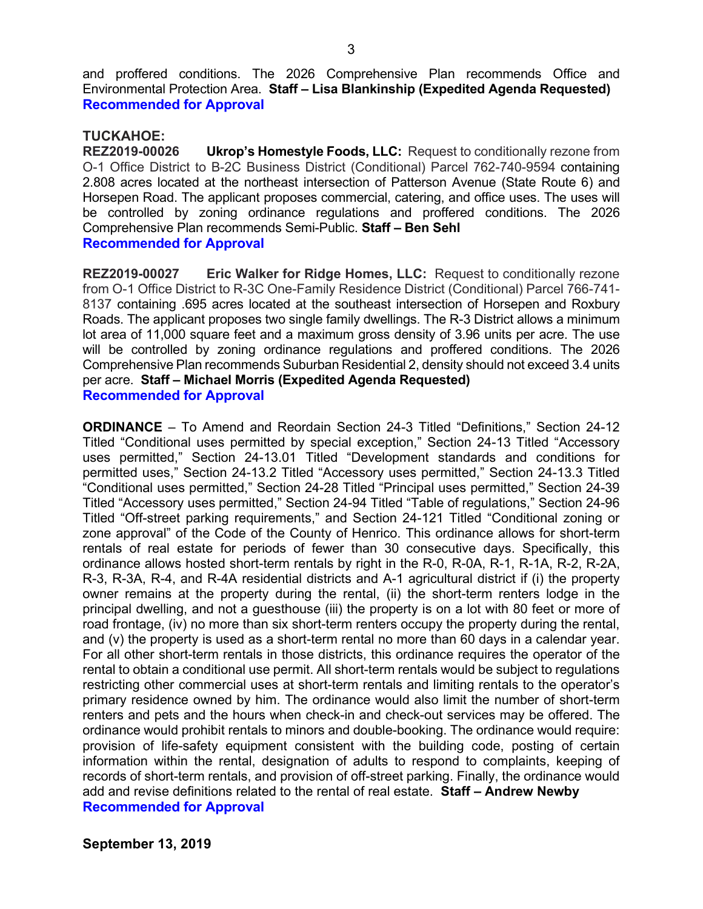and proffered conditions. The 2026 Comprehensive Plan recommends Office and Environmental Protection Area. **Staff – Lisa Blankinship (Expedited Agenda Requested) Recommended for Approval**

#### **TUCKAHOE:**

**REZ2019-00026 Ukrop's Homestyle Foods, LLC:** Request to conditionally rezone from O-1 Office District to B-2C Business District (Conditional) Parcel 762-740-9594 containing 2.808 acres located at the northeast intersection of Patterson Avenue (State Route 6) and Horsepen Road. The applicant proposes commercial, catering, and office uses. The uses will be controlled by zoning ordinance regulations and proffered conditions. The 2026 Comprehensive Plan recommends Semi-Public. **Staff – Ben Sehl**

#### **Recommended for Approval**

**REZ2019-00027 Eric Walker for Ridge Homes, LLC:** Request to conditionally rezone from O-1 Office District to R-3C One-Family Residence District (Conditional) Parcel 766-741- 8137 containing .695 acres located at the southeast intersection of Horsepen and Roxbury Roads. The applicant proposes two single family dwellings. The R-3 District allows a minimum lot area of 11,000 square feet and a maximum gross density of 3.96 units per acre. The use will be controlled by zoning ordinance regulations and proffered conditions. The 2026 Comprehensive Plan recommends Suburban Residential 2, density should not exceed 3.4 units per acre. **Staff – Michael Morris (Expedited Agenda Requested) Recommended for Approval**

**ORDINANCE** – To Amend and Reordain Section 24-3 Titled "Definitions," Section 24-12 Titled "Conditional uses permitted by special exception," Section 24-13 Titled "Accessory uses permitted," Section 24-13.01 Titled "Development standards and conditions for permitted uses," Section 24-13.2 Titled "Accessory uses permitted," Section 24-13.3 Titled "Conditional uses permitted," Section 24-28 Titled "Principal uses permitted," Section 24-39 Titled "Accessory uses permitted," Section 24-94 Titled "Table of regulations," Section 24-96 Titled "Off-street parking requirements," and Section 24-121 Titled "Conditional zoning or zone approval" of the Code of the County of Henrico. This ordinance allows for short-term rentals of real estate for periods of fewer than 30 consecutive days. Specifically, this ordinance allows hosted short-term rentals by right in the R-0, R-0A, R-1, R-1A, R-2, R-2A, R-3, R-3A, R-4, and R-4A residential districts and A-1 agricultural district if (i) the property owner remains at the property during the rental, (ii) the short-term renters lodge in the principal dwelling, and not a guesthouse (iii) the property is on a lot with 80 feet or more of road frontage, (iv) no more than six short-term renters occupy the property during the rental, and (v) the property is used as a short-term rental no more than 60 days in a calendar year. For all other short-term rentals in those districts, this ordinance requires the operator of the rental to obtain a conditional use permit. All short-term rentals would be subject to regulations restricting other commercial uses at short-term rentals and limiting rentals to the operator's primary residence owned by him. The ordinance would also limit the number of short-term renters and pets and the hours when check-in and check-out services may be offered. The ordinance would prohibit rentals to minors and double-booking. The ordinance would require: provision of life-safety equipment consistent with the building code, posting of certain information within the rental, designation of adults to respond to complaints, keeping of records of short-term rentals, and provision of off-street parking. Finally, the ordinance would add and revise definitions related to the rental of real estate. **Staff – Andrew Newby Recommended for Approval**